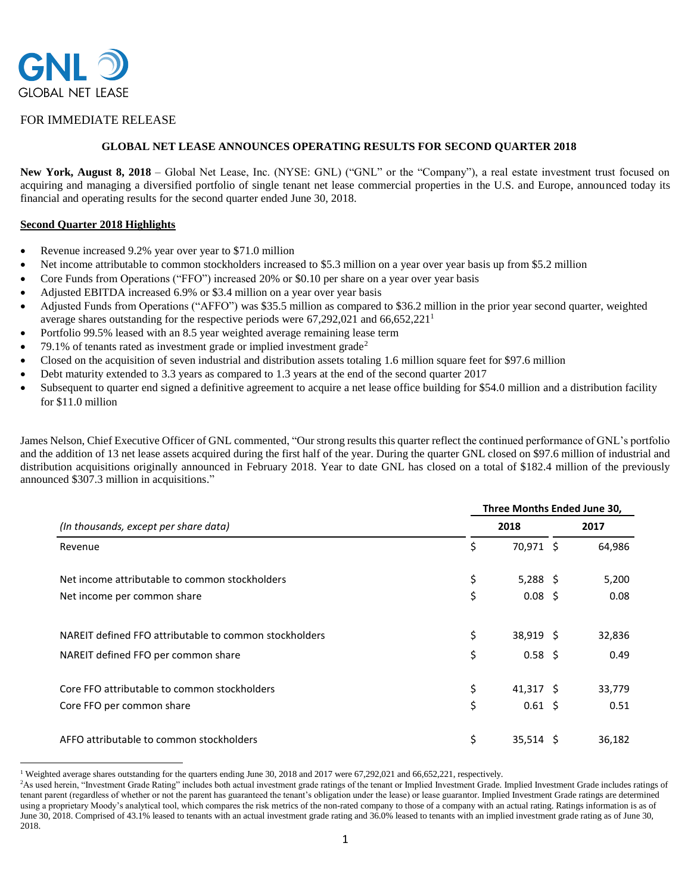

## FOR IMMEDIATE RELEASE

## **GLOBAL NET LEASE ANNOUNCES OPERATING RESULTS FOR SECOND QUARTER 2018**

New York, August 8, 2018 – Global Net Lease, Inc. (NYSE: GNL) ("GNL" or the "Company"), a real estate investment trust focused on acquiring and managing a diversified portfolio of single tenant net lease commercial properties in the U.S. and Europe, announced today its financial and operating results for the second quarter ended June 30, 2018.

### **Second Quarter 2018 Highlights**

- Revenue increased 9.2% year over year to \$71.0 million
- Net income attributable to common stockholders increased to \$5.3 million on a year over year basis up from \$5.2 million
- Core Funds from Operations ("FFO") increased 20% or \$0.10 per share on a year over year basis
- Adjusted EBITDA increased 6.9% or \$3.4 million on a year over year basis
- Adjusted Funds from Operations ("AFFO") was \$35.5 million as compared to \$36.2 million in the prior year second quarter, weighted average shares outstanding for the respective periods were  $67,292,021$  and  $66,652,221$ <sup>1</sup>
- Portfolio 99.5% leased with an 8.5 year weighted average remaining lease term
- 79.1% of tenants rated as investment grade or implied investment grade<sup>2</sup>
- Closed on the acquisition of seven industrial and distribution assets totaling 1.6 million square feet for \$97.6 million
- Debt maturity extended to 3.3 years as compared to 1.3 years at the end of the second quarter 2017
- Subsequent to quarter end signed a definitive agreement to acquire a net lease office building for \$54.0 million and a distribution facility for \$11.0 million

James Nelson, Chief Executive Officer of GNL commented, "Our strong results this quarter reflect the continued performance of GNL's portfolio and the addition of 13 net lease assets acquired during the first half of the year. During the quarter GNL closed on \$97.6 million of industrial and distribution acquisitions originally announced in February 2018. Year to date GNL has closed on a total of \$182.4 million of the previously announced \$307.3 million in acquisitions."

|                                                        | Three Months Ended June 30, |              |      |        |  |
|--------------------------------------------------------|-----------------------------|--------------|------|--------|--|
| (In thousands, except per share data)                  | 2018                        |              | 2017 |        |  |
| Revenue                                                | \$                          | 70,971 \$    |      | 64,986 |  |
| Net income attributable to common stockholders         | \$                          | 5,288 \$     |      | 5,200  |  |
| Net income per common share                            | \$                          | $0.08 \;$ \$ |      | 0.08   |  |
| NAREIT defined FFO attributable to common stockholders | \$                          | $38,919$ \$  |      | 32,836 |  |
| NAREIT defined FFO per common share                    | \$                          | $0.58 \;$ \$ |      | 0.49   |  |
| Core FFO attributable to common stockholders           | \$                          | $41,317$ \$  |      | 33,779 |  |
| Core FFO per common share                              | \$                          | $0.61 \;$ \$ |      | 0.51   |  |
| AFFO attributable to common stockholders               | \$                          | $35,514$ \$  |      | 36,182 |  |

<sup>&</sup>lt;sup>1</sup> Weighted average shares outstanding for the quarters ending June 30, 2018 and 2017 were 67,292,021 and 66,652,221, respectively.

<sup>&</sup>lt;sup>2</sup>As used herein, "Investment Grade Rating" includes both actual investment grade ratings of the tenant or Implied Investment Grade. Implied Investment Grade includes ratings of tenant parent (regardless of whether or not the parent has guaranteed the tenant's obligation under the lease) or lease guarantor. Implied Investment Grade ratings are determined using a proprietary Moody's analytical tool, which compares the risk metrics of the non-rated company to those of a company with an actual rating. Ratings information is as of June 30, 2018. Comprised of 43.1% leased to tenants with an actual investment grade rating and 36.0% leased to tenants with an implied investment grade rating as of June 30, 2018.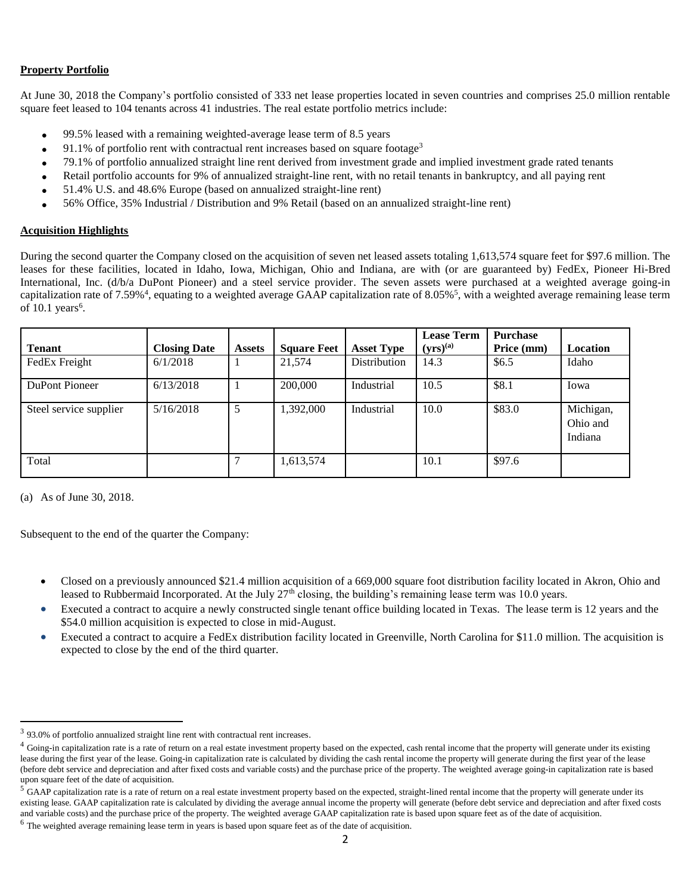## **Property Portfolio**

At June 30, 2018 the Company's portfolio consisted of 333 net lease properties located in seven countries and comprises 25.0 million rentable square feet leased to 104 tenants across 41 industries. The real estate portfolio metrics include:

- 99.5% leased with a remaining weighted-average lease term of 8.5 years
- 91.1% of portfolio rent with contractual rent increases based on square footage<sup>3</sup>
- 79.1% of portfolio annualized straight line rent derived from investment grade and implied investment grade rated tenants
- Retail portfolio accounts for 9% of annualized straight-line rent, with no retail tenants in bankruptcy, and all paying rent
- 51.4% U.S. and 48.6% Europe (based on annualized straight-line rent)
- 56% Office, 35% Industrial / Distribution and 9% Retail (based on an annualized straight-line rent)

## **Acquisition Highlights**

During the second quarter the Company closed on the acquisition of seven net leased assets totaling 1,613,574 square feet for \$97.6 million. The leases for these facilities, located in Idaho, Iowa, Michigan, Ohio and Indiana, are with (or are guaranteed by) FedEx, Pioneer Hi-Bred International, Inc. (d/b/a DuPont Pioneer) and a steel service provider. The seven assets were purchased at a weighted average going-in capitalization rate of 7.59%<sup>4</sup>, equating to a weighted average GAAP capitalization rate of 8.05%<sup>5</sup>, with a weighted average remaining lease term of  $10.1$  years<sup>6</sup>.

| <b>Tenant</b>          | <b>Closing Date</b> | <b>Assets</b> | <b>Square Feet</b> | <b>Asset Type</b> | <b>Lease Term</b><br>$(yrs)^{(a)}$ | <b>Purchase</b><br>Price (mm) | Location                         |
|------------------------|---------------------|---------------|--------------------|-------------------|------------------------------------|-------------------------------|----------------------------------|
| FedEx Freight          | 6/1/2018            |               | 21,574             | Distribution      | 14.3                               | \$6.5                         | Idaho                            |
| DuPont Pioneer         | 6/13/2018           |               | 200,000            | Industrial        | 10.5                               | \$8.1                         | Iowa                             |
| Steel service supplier | 5/16/2018           | 5             | ,392,000           | Industrial        | 10.0                               | \$83.0                        | Michigan,<br>Ohio and<br>Indiana |
| Total                  |                     |               | 1,613,574          |                   | 10.1                               | \$97.6                        |                                  |

(a) As of June 30, 2018.

Subsequent to the end of the quarter the Company:

- Closed on a previously announced \$21.4 million acquisition of a 669,000 square foot distribution facility located in Akron, Ohio and leased to Rubbermaid Incorporated. At the July  $27<sup>th</sup>$  closing, the building's remaining lease term was 10.0 years.
- Executed a contract to acquire a newly constructed single tenant office building located in Texas. The lease term is 12 years and the \$54.0 million acquisition is expected to close in mid-August.
- Executed a contract to acquire a FedEx distribution facility located in Greenville, North Carolina for \$11.0 million. The acquisition is expected to close by the end of the third quarter.

 $3$  93.0% of portfolio annualized straight line rent with contractual rent increases.

<sup>&</sup>lt;sup>4</sup> Going-in capitalization rate is a rate of return on a real estate investment property based on the expected, cash rental income that the property will generate under its existing lease during the first year of the lease. Going-in capitalization rate is calculated by dividing the cash rental income the property will generate during the first year of the lease (before debt service and depreciation and after fixed costs and variable costs) and the purchase price of the property. The weighted average going-in capitalization rate is based upon square feet of the date of acquisition.

 $5$ GAAP capitalization rate is a rate of return on a real estate investment property based on the expected, straight-lined rental income that the property will generate under its existing lease. GAAP capitalization rate is calculated by dividing the average annual income the property will generate (before debt service and depreciation and after fixed costs and variable costs) and the purchase price of the property. The weighted average GAAP capitalization rate is based upon square feet as of the date of acquisition.

<sup>&</sup>lt;sup>6</sup> The weighted average remaining lease term in years is based upon square feet as of the date of acquisition.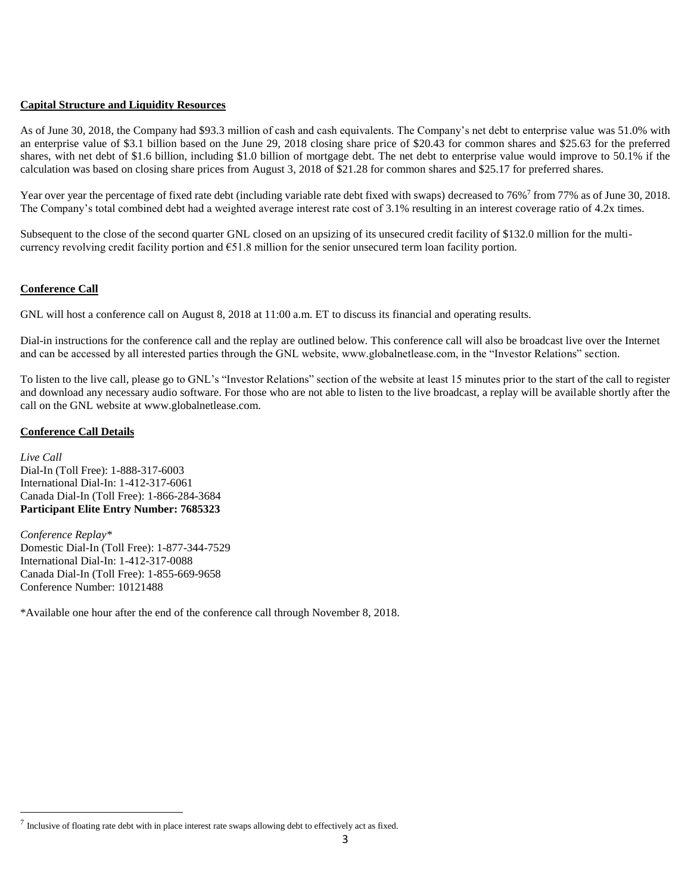## **Capital Structure and Liquidity Resources**

As of June 30, 2018, the Company had \$93.3 million of cash and cash equivalents. The Company's net debt to enterprise value was 51.0% with an enterprise value of \$3.1 billion based on the June 29, 2018 closing share price of \$20.43 for common shares and \$25.63 for the preferred shares, with net debt of \$1.6 billion, including \$1.0 billion of mortgage debt. The net debt to enterprise value would improve to 50.1% if the calculation was based on closing share prices from August 3, 2018 of \$21.28 for common shares and \$25.17 for preferred shares.

Year over year the percentage of fixed rate debt (including variable rate debt fixed with swaps) decreased to 76%<sup>7</sup> from 77% as of June 30, 2018. The Company's total combined debt had a weighted average interest rate cost of 3.1% resulting in an interest coverage ratio of 4.2x times.

Subsequent to the close of the second quarter GNL closed on an upsizing of its unsecured credit facility of \$132.0 million for the multicurrency revolving credit facility portion and €51.8 million for the senior unsecured term loan facility portion.

## **Conference Call**

GNL will host a conference call on August 8, 2018 at 11:00 a.m. ET to discuss its financial and operating results.

Dial-in instructions for the conference call and the replay are outlined below. This conference call will also be broadcast live over the Internet and can be accessed by all interested parties through the GNL website, www.globalnetlease.com, in the "Investor Relations" section.

To listen to the live call, please go to GNL's "Investor Relations" section of the website at least 15 minutes prior to the start of the call to register and download any necessary audio software. For those who are not able to listen to the live broadcast, a replay will be available shortly after the call on the GNL website at www.globalnetlease.com.

## **Conference Call Details**

*Live Call* Dial-In (Toll Free): 1-888-317-6003 International Dial-In: 1-412-317-6061 Canada Dial-In (Toll Free): 1-866-284-3684 **Participant Elite Entry Number: 7685323**

*Conference Replay\** Domestic Dial-In (Toll Free): 1-877-344-7529 International Dial-In: 1-412-317-0088 Canada Dial-In (Toll Free): 1-855-669-9658 Conference Number: 10121488

\*Available one hour after the end of the conference call through November 8, 2018.

 $^7$  Inclusive of floating rate debt with in place interest rate swaps allowing debt to effectively act as fixed.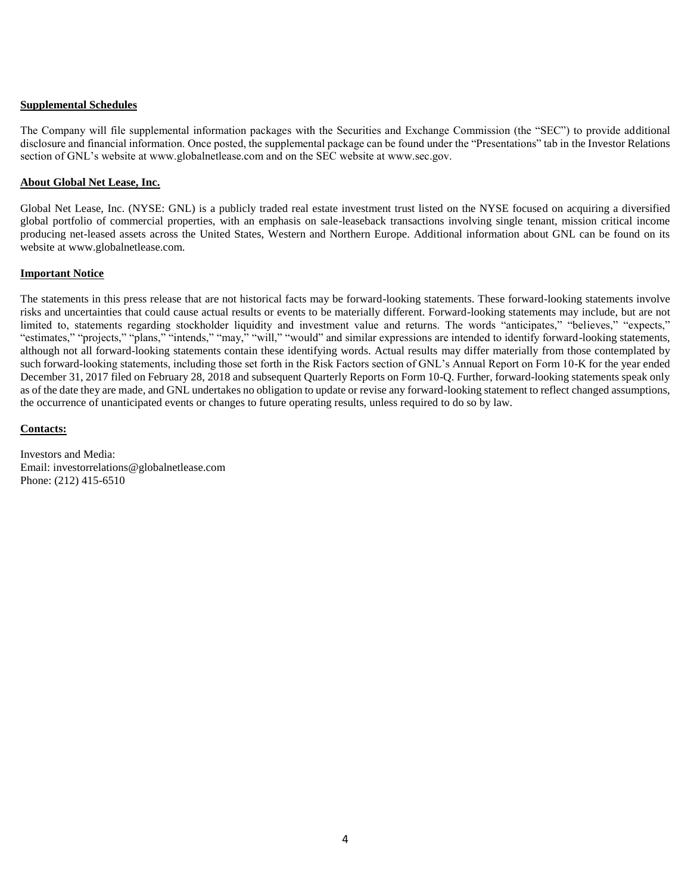## **Supplemental Schedules**

The Company will file supplemental information packages with the Securities and Exchange Commission (the "SEC") to provide additional disclosure and financial information. Once posted, the supplemental package can be found under the "Presentations" tab in the Investor Relations section of GNL's website at www.globalnetlease.com and on the SEC website at www.sec.gov.

## **About Global Net Lease, Inc.**

Global Net Lease, Inc. (NYSE: GNL) is a publicly traded real estate investment trust listed on the NYSE focused on acquiring a diversified global portfolio of commercial properties, with an emphasis on sale-leaseback transactions involving single tenant, mission critical income producing net-leased assets across the United States, Western and Northern Europe. Additional information about GNL can be found on its website at www.globalnetlease.com.

## **Important Notice**

The statements in this press release that are not historical facts may be forward-looking statements. These forward-looking statements involve risks and uncertainties that could cause actual results or events to be materially different. Forward-looking statements may include, but are not limited to, statements regarding stockholder liquidity and investment value and returns. The words "anticipates," "believes," "expects," "estimates," "projects," "plans," "intends," "may," "will," "would" and similar expressions are intended to identify forward-looking statements, although not all forward-looking statements contain these identifying words. Actual results may differ materially from those contemplated by such forward-looking statements, including those set forth in the Risk Factors section of GNL's Annual Report on Form 10-K for the year ended December 31, 2017 filed on February 28, 2018 and subsequent Quarterly Reports on Form 10-Q. Further, forward-looking statements speak only as of the date they are made, and GNL undertakes no obligation to update or revise any forward-looking statement to reflect changed assumptions, the occurrence of unanticipated events or changes to future operating results, unless required to do so by law.

### **Contacts:**

Investors and Media: Email: investorrelations@globalnetlease.com Phone: (212) 415-6510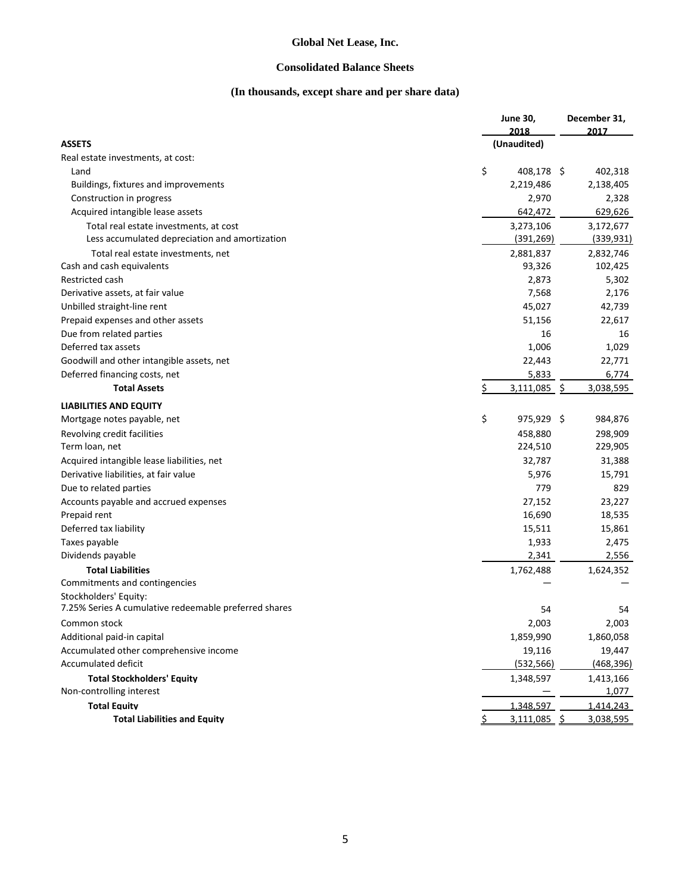## **Consolidated Balance Sheets**

# **(In thousands, except share and per share data)**

|                                                               | June 30,           | December 31,       |
|---------------------------------------------------------------|--------------------|--------------------|
|                                                               | 2018               | 2017               |
| <b>ASSETS</b>                                                 | (Unaudited)        |                    |
| Real estate investments, at cost:                             |                    |                    |
| Land                                                          | \$<br>408,178 \$   | 402,318            |
| Buildings, fixtures and improvements                          | 2,219,486          | 2,138,405          |
| Construction in progress                                      | 2,970              | 2,328              |
| Acquired intangible lease assets                              | 642,472            | 629,626            |
| Total real estate investments, at cost                        | 3,273,106          | 3,172,677          |
| Less accumulated depreciation and amortization                | (391, 269)         | (339, 931)         |
| Total real estate investments, net                            | 2,881,837          | 2,832,746          |
| Cash and cash equivalents                                     | 93,326             | 102,425            |
| Restricted cash                                               | 2,873              | 5,302              |
| Derivative assets, at fair value                              | 7,568              | 2,176              |
| Unbilled straight-line rent                                   | 45,027             | 42,739             |
| Prepaid expenses and other assets                             | 51,156             | 22,617             |
| Due from related parties                                      | 16                 | 16                 |
| Deferred tax assets                                           | 1,006              | 1,029              |
| Goodwill and other intangible assets, net                     | 22,443             | 22,771             |
| Deferred financing costs, net                                 | 5,833              | 6,774              |
| <b>Total Assets</b>                                           | \$<br>3,111,085 \$ | 3,038,595          |
| <b>LIABILITIES AND EQUITY</b>                                 |                    |                    |
| Mortgage notes payable, net                                   | \$<br>975,929 \$   | 984,876            |
| Revolving credit facilities                                   | 458,880            | 298,909            |
| Term loan, net                                                | 224,510            | 229,905            |
| Acquired intangible lease liabilities, net                    | 32,787             | 31,388             |
| Derivative liabilities, at fair value                         | 5,976              | 15,791             |
| Due to related parties                                        | 779                | 829                |
| Accounts payable and accrued expenses                         | 27,152             | 23,227             |
| Prepaid rent                                                  | 16,690             | 18,535             |
| Deferred tax liability                                        | 15,511             | 15,861             |
| Taxes payable                                                 | 1,933              | 2,475              |
| Dividends payable                                             | 2,341              | 2,556              |
| <b>Total Liabilities</b>                                      | 1,762,488          | 1,624,352          |
| Commitments and contingencies                                 |                    |                    |
| Stockholders' Equity:                                         |                    |                    |
| 7.25% Series A cumulative redeemable preferred shares         | 54                 | 54                 |
| Common stock                                                  | 2,003              | 2,003              |
| Additional paid-in capital                                    | 1,859,990          | 1,860,058          |
| Accumulated other comprehensive income                        | 19,116             | 19,447             |
| Accumulated deficit                                           | (532, 566)         | (468, 396)         |
|                                                               |                    |                    |
| <b>Total Stockholders' Equity</b><br>Non-controlling interest | 1,348,597          | 1,413,166<br>1,077 |
|                                                               |                    |                    |
| <b>Total Equity</b>                                           | 1,348,597          | 1,414,243          |
| <b>Total Liabilities and Equity</b>                           | $3,111,085$ \$     | 3,038,595          |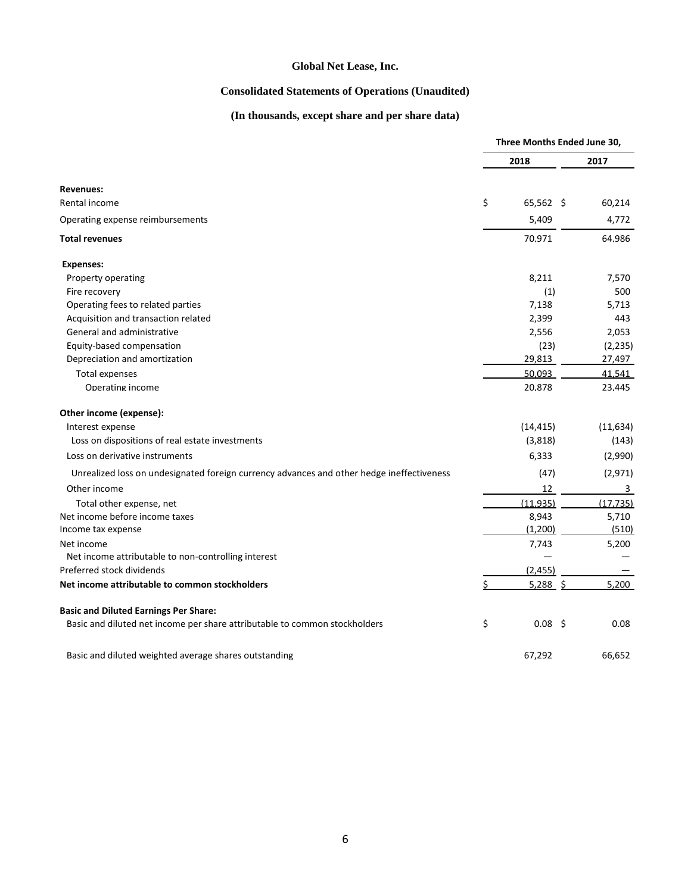# **Consolidated Statements of Operations (Unaudited)**

# **(In thousands, except share and per share data)**

|                                                                                           | Three Months Ended June 30, |                   |  |           |
|-------------------------------------------------------------------------------------------|-----------------------------|-------------------|--|-----------|
|                                                                                           |                             | 2018              |  | 2017      |
| <b>Revenues:</b>                                                                          |                             |                   |  |           |
| Rental income                                                                             | \$                          | 65,562 \$         |  | 60,214    |
| Operating expense reimbursements                                                          |                             | 5,409             |  | 4,772     |
| <b>Total revenues</b>                                                                     |                             | 70.971            |  | 64.986    |
| <b>Expenses:</b>                                                                          |                             |                   |  |           |
| Property operating                                                                        |                             | 8,211             |  | 7,570     |
| Fire recovery                                                                             |                             | (1)               |  | 500       |
| Operating fees to related parties                                                         |                             | 7,138             |  | 5,713     |
| Acquisition and transaction related                                                       |                             | 2,399             |  | 443       |
| General and administrative                                                                |                             | 2,556             |  | 2,053     |
| Equity-based compensation                                                                 |                             | (23)              |  | (2, 235)  |
| Depreciation and amortization                                                             |                             | 29,813            |  | 27,497    |
| <b>Total expenses</b>                                                                     |                             | 50.093            |  | 41,541    |
| Operating income                                                                          |                             | 20,878            |  | 23.445    |
| Other income (expense):                                                                   |                             |                   |  |           |
| Interest expense                                                                          |                             | (14, 415)         |  | (11, 634) |
| Loss on dispositions of real estate investments                                           |                             | (3,818)           |  | (143)     |
| Loss on derivative instruments                                                            |                             | 6,333             |  | (2,990)   |
| Unrealized loss on undesignated foreign currency advances and other hedge ineffectiveness |                             | (47)              |  | (2,971)   |
| Other income                                                                              |                             | 12                |  | 3         |
| Total other expense, net                                                                  |                             | (11, 935)         |  | (17, 735) |
| Net income before income taxes                                                            |                             | 8,943             |  | 5,710     |
| Income tax expense                                                                        |                             | (1,200)           |  | (510)     |
| Net income                                                                                |                             | 7,743             |  | 5,200     |
| Net income attributable to non-controlling interest                                       |                             |                   |  |           |
| Preferred stock dividends                                                                 |                             | (2, 455)          |  |           |
| Net income attributable to common stockholders                                            | Ś.                          | $5,288$ \$        |  | 5,200     |
| <b>Basic and Diluted Earnings Per Share:</b>                                              |                             |                   |  |           |
| Basic and diluted net income per share attributable to common stockholders                | \$                          | 0.08 <sup>5</sup> |  | 0.08      |
| Basic and diluted weighted average shares outstanding                                     |                             | 67,292            |  | 66,652    |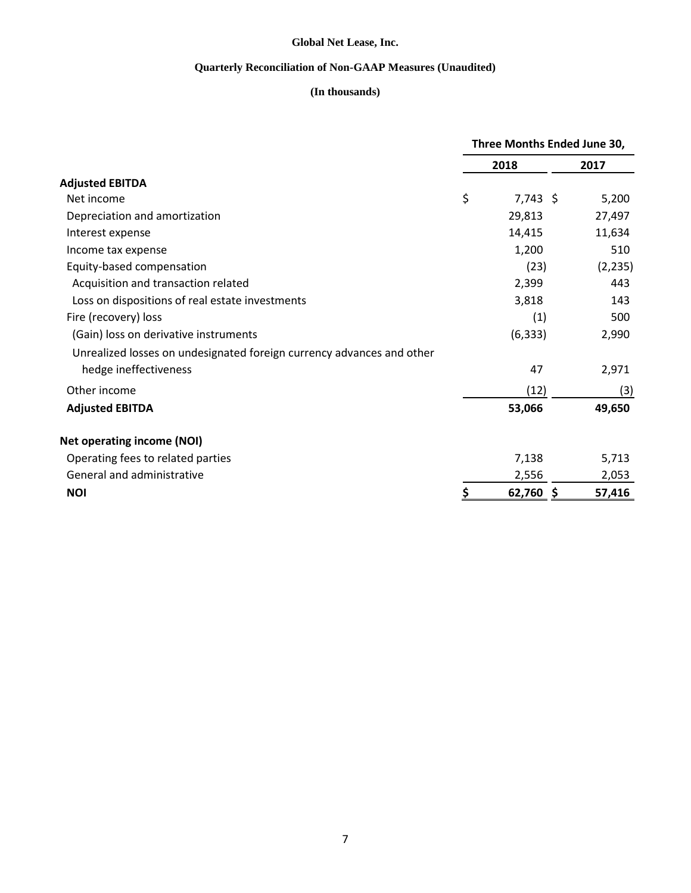# **Quarterly Reconciliation of Non-GAAP Measures (Unaudited)**

# **(In thousands)**

|                                                                       | Three Months Ended June 30, |            |          |  |
|-----------------------------------------------------------------------|-----------------------------|------------|----------|--|
|                                                                       |                             | 2018       | 2017     |  |
| <b>Adjusted EBITDA</b>                                                |                             |            |          |  |
| Net income                                                            | \$                          | $7,743$ \$ | 5,200    |  |
| Depreciation and amortization                                         |                             | 29,813     | 27,497   |  |
| Interest expense                                                      |                             | 14,415     | 11,634   |  |
| Income tax expense                                                    |                             | 1,200      | 510      |  |
| Equity-based compensation                                             |                             | (23)       | (2, 235) |  |
| Acquisition and transaction related                                   |                             | 2,399      | 443      |  |
| Loss on dispositions of real estate investments                       |                             | 3,818      | 143      |  |
| Fire (recovery) loss                                                  |                             | (1)        | 500      |  |
| (Gain) loss on derivative instruments                                 |                             | (6, 333)   | 2,990    |  |
| Unrealized losses on undesignated foreign currency advances and other |                             |            |          |  |
| hedge ineffectiveness                                                 |                             | 47         | 2,971    |  |
| Other income                                                          |                             | (12)       | (3)      |  |
| <b>Adjusted EBITDA</b>                                                |                             | 53,066     | 49,650   |  |
| <b>Net operating income (NOI)</b>                                     |                             |            |          |  |
| Operating fees to related parties                                     |                             | 7,138      | 5,713    |  |
| General and administrative                                            |                             | 2,556      | 2,053    |  |
| <b>NOI</b>                                                            |                             | 62,760 \$  | 57,416   |  |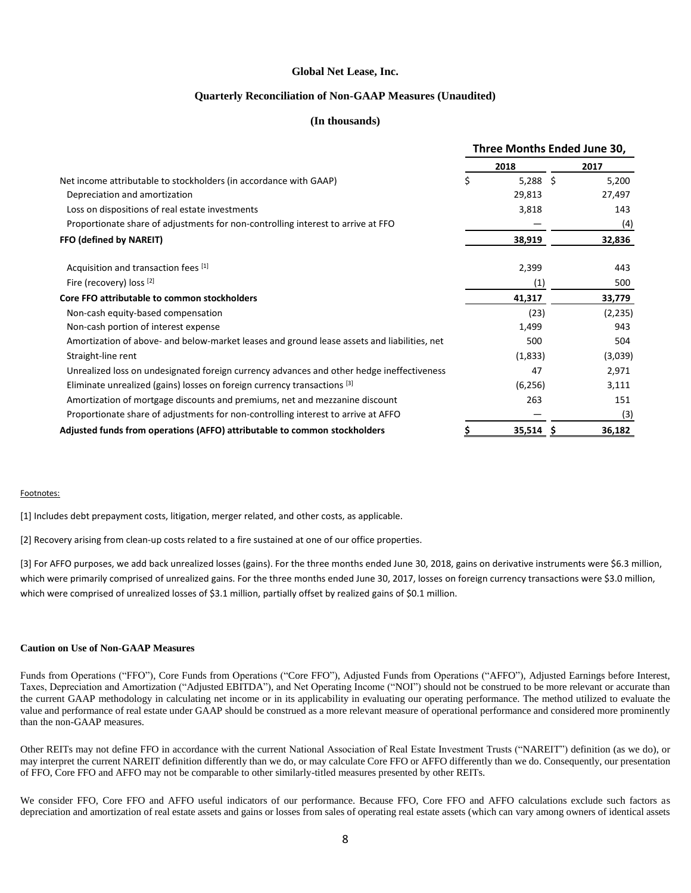### **Quarterly Reconciliation of Non-GAAP Measures (Unaudited)**

### **(In thousands)**

|                                                                                             | Three Months Ended June 30, |            |  |          |
|---------------------------------------------------------------------------------------------|-----------------------------|------------|--|----------|
|                                                                                             |                             | 2018       |  | 2017     |
| Net income attributable to stockholders (in accordance with GAAP)                           | \$                          | $5,288$ \$ |  | 5,200    |
| Depreciation and amortization                                                               |                             | 29,813     |  | 27,497   |
| Loss on dispositions of real estate investments                                             |                             | 3,818      |  | 143      |
| Proportionate share of adjustments for non-controlling interest to arrive at FFO            |                             |            |  | (4)      |
| FFO (defined by NAREIT)                                                                     |                             | 38,919     |  | 32,836   |
| Acquisition and transaction fees [1]                                                        |                             | 2,399      |  | 443      |
| Fire (recovery) loss [2]                                                                    |                             | (1)        |  | 500      |
| Core FFO attributable to common stockholders                                                |                             | 41,317     |  | 33,779   |
| Non-cash equity-based compensation                                                          |                             | (23)       |  | (2, 235) |
| Non-cash portion of interest expense                                                        |                             | 1,499      |  | 943      |
| Amortization of above- and below-market leases and ground lease assets and liabilities, net |                             | 500        |  | 504      |
| Straight-line rent                                                                          |                             | (1,833)    |  | (3,039)  |
| Unrealized loss on undesignated foreign currency advances and other hedge ineffectiveness   |                             | 47         |  | 2,971    |
| Eliminate unrealized (gains) losses on foreign currency transactions [3]                    |                             | (6, 256)   |  | 3,111    |
| Amortization of mortgage discounts and premiums, net and mezzanine discount                 |                             | 263        |  | 151      |
| Proportionate share of adjustments for non-controlling interest to arrive at AFFO           |                             |            |  | (3)      |
| Adjusted funds from operations (AFFO) attributable to common stockholders                   |                             | 35,514     |  | 36,182   |

#### Footnotes:

[1] Includes debt prepayment costs, litigation, merger related, and other costs, as applicable.

[2] Recovery arising from clean-up costs related to a fire sustained at one of our office properties.

[3] For AFFO purposes, we add back unrealized losses (gains). For the three months ended June 30, 2018, gains on derivative instruments were \$6.3 million, which were primarily comprised of unrealized gains. For the three months ended June 30, 2017, losses on foreign currency transactions were \$3.0 million, which were comprised of unrealized losses of \$3.1 million, partially offset by realized gains of \$0.1 million.

### **Caution on Use of Non-GAAP Measures**

Funds from Operations ("FFO"), Core Funds from Operations ("Core FFO"), Adjusted Funds from Operations ("AFFO"), Adjusted Earnings before Interest, Taxes, Depreciation and Amortization ("Adjusted EBITDA"), and Net Operating Income ("NOI") should not be construed to be more relevant or accurate than the current GAAP methodology in calculating net income or in its applicability in evaluating our operating performance. The method utilized to evaluate the value and performance of real estate under GAAP should be construed as a more relevant measure of operational performance and considered more prominently than the non-GAAP measures.

Other REITs may not define FFO in accordance with the current National Association of Real Estate Investment Trusts ("NAREIT") definition (as we do), or may interpret the current NAREIT definition differently than we do, or may calculate Core FFO or AFFO differently than we do. Consequently, our presentation of FFO, Core FFO and AFFO may not be comparable to other similarly-titled measures presented by other REITs.

We consider FFO, Core FFO and AFFO useful indicators of our performance. Because FFO, Core FFO and AFFO calculations exclude such factors as depreciation and amortization of real estate assets and gains or losses from sales of operating real estate assets (which can vary among owners of identical assets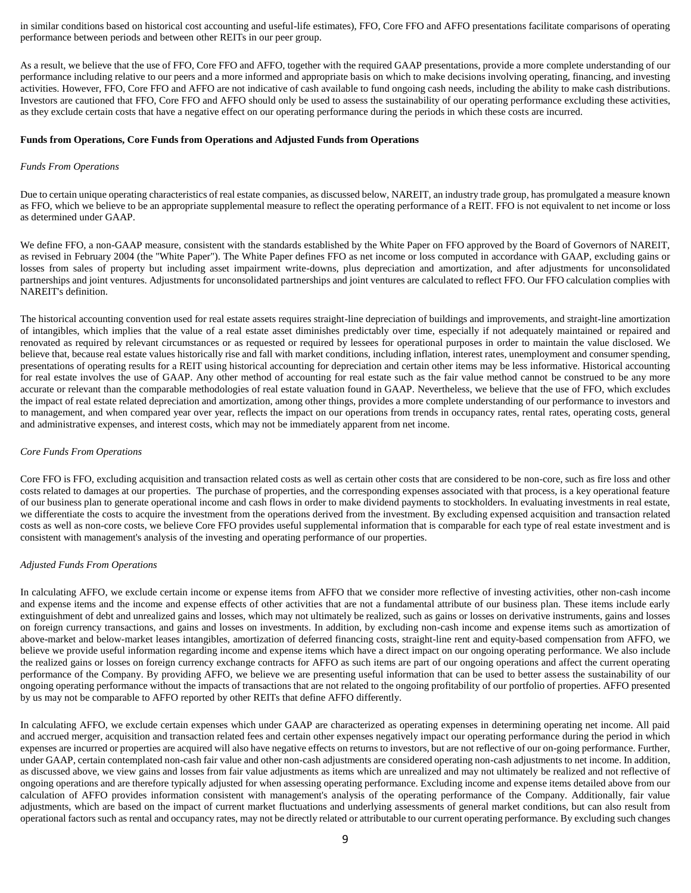in similar conditions based on historical cost accounting and useful-life estimates), FFO, Core FFO and AFFO presentations facilitate comparisons of operating performance between periods and between other REITs in our peer group.

As a result, we believe that the use of FFO, Core FFO and AFFO, together with the required GAAP presentations, provide a more complete understanding of our performance including relative to our peers and a more informed and appropriate basis on which to make decisions involving operating, financing, and investing activities. However, FFO, Core FFO and AFFO are not indicative of cash available to fund ongoing cash needs, including the ability to make cash distributions. Investors are cautioned that FFO, Core FFO and AFFO should only be used to assess the sustainability of our operating performance excluding these activities, as they exclude certain costs that have a negative effect on our operating performance during the periods in which these costs are incurred.

#### **Funds from Operations, Core Funds from Operations and Adjusted Funds from Operations**

#### *Funds From Operations*

Due to certain unique operating characteristics of real estate companies, as discussed below, NAREIT, an industry trade group, has promulgated a measure known as FFO, which we believe to be an appropriate supplemental measure to reflect the operating performance of a REIT. FFO is not equivalent to net income or loss as determined under GAAP.

We define FFO, a non-GAAP measure, consistent with the standards established by the White Paper on FFO approved by the Board of Governors of NAREIT, as revised in February 2004 (the "White Paper"). The White Paper defines FFO as net income or loss computed in accordance with GAAP, excluding gains or losses from sales of property but including asset impairment write-downs, plus depreciation and amortization, and after adjustments for unconsolidated partnerships and joint ventures. Adjustments for unconsolidated partnerships and joint ventures are calculated to reflect FFO. Our FFO calculation complies with NAREIT's definition.

The historical accounting convention used for real estate assets requires straight-line depreciation of buildings and improvements, and straight-line amortization of intangibles, which implies that the value of a real estate asset diminishes predictably over time, especially if not adequately maintained or repaired and renovated as required by relevant circumstances or as requested or required by lessees for operational purposes in order to maintain the value disclosed. We believe that, because real estate values historically rise and fall with market conditions, including inflation, interest rates, unemployment and consumer spending, presentations of operating results for a REIT using historical accounting for depreciation and certain other items may be less informative. Historical accounting for real estate involves the use of GAAP. Any other method of accounting for real estate such as the fair value method cannot be construed to be any more accurate or relevant than the comparable methodologies of real estate valuation found in GAAP. Nevertheless, we believe that the use of FFO, which excludes the impact of real estate related depreciation and amortization, among other things, provides a more complete understanding of our performance to investors and to management, and when compared year over year, reflects the impact on our operations from trends in occupancy rates, rental rates, operating costs, general and administrative expenses, and interest costs, which may not be immediately apparent from net income.

#### *Core Funds From Operations*

Core FFO is FFO, excluding acquisition and transaction related costs as well as certain other costs that are considered to be non-core, such as fire loss and other costs related to damages at our properties. The purchase of properties, and the corresponding expenses associated with that process, is a key operational feature of our business plan to generate operational income and cash flows in order to make dividend payments to stockholders. In evaluating investments in real estate, we differentiate the costs to acquire the investment from the operations derived from the investment. By excluding expensed acquisition and transaction related costs as well as non-core costs, we believe Core FFO provides useful supplemental information that is comparable for each type of real estate investment and is consistent with management's analysis of the investing and operating performance of our properties.

#### *Adjusted Funds From Operations*

In calculating AFFO, we exclude certain income or expense items from AFFO that we consider more reflective of investing activities, other non-cash income and expense items and the income and expense effects of other activities that are not a fundamental attribute of our business plan. These items include early extinguishment of debt and unrealized gains and losses, which may not ultimately be realized, such as gains or losses on derivative instruments, gains and losses on foreign currency transactions, and gains and losses on investments. In addition, by excluding non-cash income and expense items such as amortization of above-market and below-market leases intangibles, amortization of deferred financing costs, straight-line rent and equity-based compensation from AFFO, we believe we provide useful information regarding income and expense items which have a direct impact on our ongoing operating performance. We also include the realized gains or losses on foreign currency exchange contracts for AFFO as such items are part of our ongoing operations and affect the current operating performance of the Company. By providing AFFO, we believe we are presenting useful information that can be used to better assess the sustainability of our ongoing operating performance without the impacts of transactions that are not related to the ongoing profitability of our portfolio of properties. AFFO presented by us may not be comparable to AFFO reported by other REITs that define AFFO differently.

In calculating AFFO, we exclude certain expenses which under GAAP are characterized as operating expenses in determining operating net income. All paid and accrued merger, acquisition and transaction related fees and certain other expenses negatively impact our operating performance during the period in which expenses are incurred or properties are acquired will also have negative effects on returns to investors, but are not reflective of our on-going performance. Further, under GAAP, certain contemplated non-cash fair value and other non-cash adjustments are considered operating non-cash adjustments to net income. In addition, as discussed above, we view gains and losses from fair value adjustments as items which are unrealized and may not ultimately be realized and not reflective of ongoing operations and are therefore typically adjusted for when assessing operating performance. Excluding income and expense items detailed above from our calculation of AFFO provides information consistent with management's analysis of the operating performance of the Company. Additionally, fair value adjustments, which are based on the impact of current market fluctuations and underlying assessments of general market conditions, but can also result from operational factors such as rental and occupancy rates, may not be directly related or attributable to our current operating performance. By excluding such changes